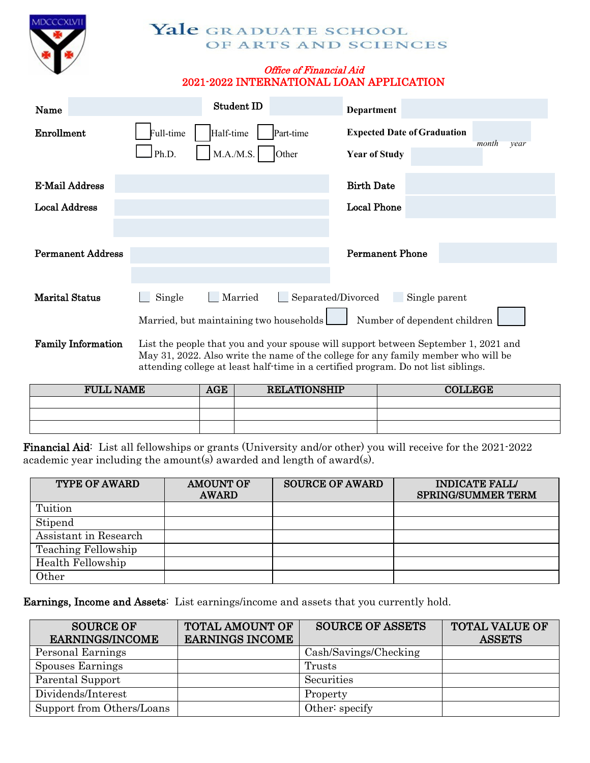

## Yale GRADUATE SCHOOL OF ARTS AND SCIENCES

## Office of Financial Aid 2021-2022 INTERNATIONAL LOAN APPLICATION

| Name                     | Student ID                                                          | Department                                                                  |
|--------------------------|---------------------------------------------------------------------|-----------------------------------------------------------------------------|
| Enrollment               | Full-time<br>Half-time<br>Part-time<br>M.A./M.S.<br>Ph.D.<br> Other | <b>Expected Date of Graduation</b><br>month<br>year<br><b>Year of Study</b> |
| E-Mail Address           |                                                                     | <b>Birth Date</b>                                                           |
| <b>Local Address</b>     |                                                                     | <b>Local Phone</b>                                                          |
|                          |                                                                     |                                                                             |
| <b>Permanent Address</b> |                                                                     | <b>Permanent Phone</b>                                                      |
|                          |                                                                     |                                                                             |
| <b>Marital Status</b>    | Married<br>Single                                                   | Separated/Divorced<br>Single parent                                         |
|                          | Married, but maintaining two households                             | Number of dependent children                                                |

Family Information List the people that you and your spouse will support between September 1, 2021 and May 31, 2022. Also write the name of the college for any family member who will be attending college at least half-time in a certified program. Do not list siblings.

| <b>FULL NAME</b> | AGE | <b>RELATIONSHIP</b> | <b>DLLEGE</b> |
|------------------|-----|---------------------|---------------|
|                  |     |                     |               |
|                  |     |                     |               |
|                  |     |                     |               |

Financial Aid: List all fellowships or grants (University and/or other) you will receive for the 2021-2022 academic year including the amount(s) awarded and length of award(s).

| <b>TYPE OF AWARD</b>  | <b>AMOUNT OF</b><br><b>AWARD</b> | <b>SOURCE OF AWARD</b> | <b>INDICATE FALL/</b><br><b>SPRING/SUMMER TERM</b> |
|-----------------------|----------------------------------|------------------------|----------------------------------------------------|
| Tuition               |                                  |                        |                                                    |
| Stipend               |                                  |                        |                                                    |
| Assistant in Research |                                  |                        |                                                    |
| Teaching Fellowship   |                                  |                        |                                                    |
| Health Fellowship     |                                  |                        |                                                    |
| Other                 |                                  |                        |                                                    |

Earnings, Income and Assets: List earnings/income and assets that you currently hold.

| <b>SOURCE OF</b>          | <b>TOTAL AMOUNT OF</b> | <b>SOURCE OF ASSETS</b> | <b>TOTAL VALUE OF</b> |
|---------------------------|------------------------|-------------------------|-----------------------|
| <b>EARNINGS/INCOME</b>    | <b>EARNINGS INCOME</b> |                         | <b>ASSETS</b>         |
| Personal Earnings         |                        | Cash/Savings/Checking   |                       |
| Spouses Earnings          |                        | Trusts                  |                       |
| Parental Support          |                        | Securities              |                       |
| Dividends/Interest        |                        | Property                |                       |
| Support from Others/Loans |                        | Other: specify          |                       |